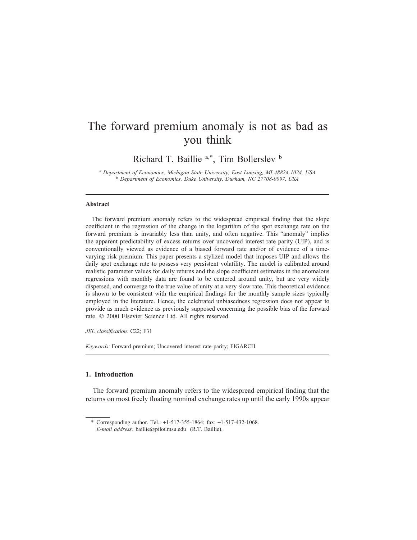# The forward premium anomaly is not as bad as you think

Richard T. Baillie a,\*, Tim Bollerslev <sup>b</sup>

<sup>a</sup> *Department of Economics, Michigan State University, East Lansing, MI 48824-1024, USA* <sup>b</sup> *Department of Economics, Duke University, Durham, NC 27708-0097, USA*

### **Abstract**

The forward premium anomaly refers to the widespread empirical finding that the slope coefficient in the regression of the change in the logarithm of the spot exchange rate on the forward premium is invariably less than unity, and often negative. This "anomaly" implies the apparent predictability of excess returns over uncovered interest rate parity (UIP), and is conventionally viewed as evidence of a biased forward rate and/or of evidence of a timevarying risk premium. This paper presents a stylized model that imposes UIP and allows the daily spot exchange rate to possess very persistent volatility. The model is calibrated around realistic parameter values for daily returns and the slope coefficient estimates in the anomalous regressions with monthly data are found to be centered around unity, but are very widely dispersed, and converge to the true value of unity at a very slow rate. This theoretical evidence is shown to be consistent with the empirical findings for the monthly sample sizes typically employed in the literature. Hence, the celebrated unbiasedness regression does not appear to provide as much evidence as previously supposed concerning the possible bias of the forward rate. © 2000 Elsevier Science Ltd. All rights reserved.

*JEL classification:* C22; F31

*Keywords:* Forward premium; Uncovered interest rate parity; FIGARCH

## **1. Introduction**

The forward premium anomaly refers to the widespread empirical finding that the returns on most freely floating nominal exchange rates up until the early 1990s appear

<sup>\*</sup> Corresponding author. Tel.: +1-517-355-1864; fax: +1-517-432-1068. *E-mail address:* baillie@pilot.msu.edu (R.T. Baillie).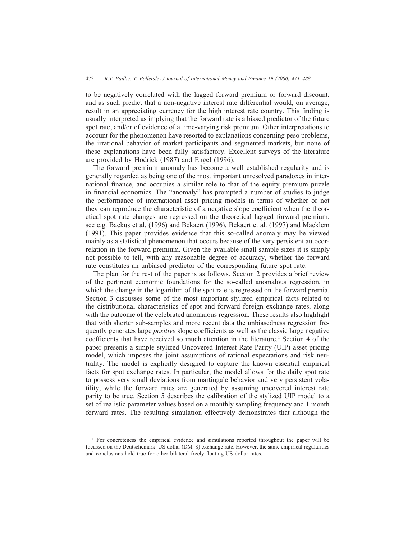to be negatively correlated with the lagged forward premium or forward discount, and as such predict that a non-negative interest rate differential would, on average, result in an appreciating currency for the high interest rate country. This finding is usually interpreted as implying that the forward rate is a biased predictor of the future spot rate, and/or of evidence of a time-varying risk premium. Other interpretations to account for the phenomenon have resorted to explanations concerning peso problems, the irrational behavior of market participants and segmented markets, but none of these explanations have been fully satisfactory. Excellent surveys of the literature are provided by Hodrick (1987) and Engel (1996).

The forward premium anomaly has become a well established regularity and is generally regarded as being one of the most important unresolved paradoxes in international finance, and occupies a similar role to that of the equity premium puzzle in financial economics. The "anomaly" has prompted a number of studies to judge the performance of international asset pricing models in terms of whether or not they can reproduce the characteristic of a negative slope coefficient when the theoretical spot rate changes are regressed on the theoretical lagged forward premium; see e.g. Backus et al. (1996) and Bekaert (1996), Bekaert et al. (1997) and Macklem (1991). This paper provides evidence that this so-called anomaly may be viewed mainly as a statistical phenomenon that occurs because of the very persistent autocorrelation in the forward premium. Given the available small sample sizes it is simply not possible to tell, with any reasonable degree of accuracy, whether the forward rate constitutes an unbiased predictor of the corresponding future spot rate.

The plan for the rest of the paper is as follows. Section 2 provides a brief review of the pertinent economic foundations for the so-called anomalous regression, in which the change in the logarithm of the spot rate is regressed on the forward premia. Section 3 discusses some of the most important stylized empirical facts related to the distributional characteristics of spot and forward foreign exchange rates, along with the outcome of the celebrated anomalous regression. These results also highlight that with shorter sub-samples and more recent data the unbiasedness regression frequently generates large *positive* slope coefficients as well as the classic large negative coefficients that have received so much attention in the literature.<sup>1</sup> Section 4 of the paper presents a simple stylized Uncovered Interest Rate Parity (UIP) asset pricing model, which imposes the joint assumptions of rational expectations and risk neutrality. The model is explicitly designed to capture the known essential empirical facts for spot exchange rates. In particular, the model allows for the daily spot rate to possess very small deviations from martingale behavior and very persistent volatility, while the forward rates are generated by assuming uncovered interest rate parity to be true. Section 5 describes the calibration of the stylized UIP model to a set of realistic parameter values based on a monthly sampling frequency and 1 month forward rates. The resulting simulation effectively demonstrates that although the

<sup>&</sup>lt;sup>1</sup> For concreteness the empirical evidence and simulations reported throughout the paper will be focussed on the Deutschemark–US dollar (DM–\$) exchange rate. However, the same empirical regularities and conclusions hold true for other bilateral freely floating US dollar rates.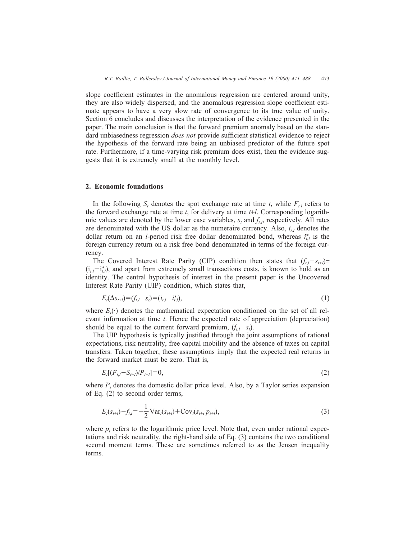slope coefficient estimates in the anomalous regression are centered around unity, they are also widely dispersed, and the anomalous regression slope coefficient estimate appears to have a very slow rate of convergence to its true value of unity. Section 6 concludes and discusses the interpretation of the evidence presented in the paper. The main conclusion is that the forward premium anomaly based on the standard unbiasedness regression *does not* provide sufficient statistical evidence to reject the hypothesis of the forward rate being an unbiased predictor of the future spot rate. Furthermore, if a time-varying risk premium does exist, then the evidence suggests that it is extremely small at the monthly level.

### **2. Economic foundations**

In the following  $S_t$  denotes the spot exchange rate at time *t*, while  $F_{t,l}$  refers to the forward exchange rate at time *t*, for delivery at time *t*+*l*. Corresponding logarithmic values are denoted by the lower case variables,  $s_t$  and  $f_{t,t}$ , respectively. All rates are denominated with the US dollar as the numeraire currency. Also,  $i_{t,l}$  denotes the dollar return on an *l*-period risk free dollar denominated bond, whereas *i* ∗ *<sup>t</sup>*,*<sup>l</sup>* is the foreign currency return on a risk free bond denominated in terms of the foreign currency.

The Covered Interest Rate Parity (CIP) condition then states that  $(f_{t,l} - s_{t+l})$  $(i_{t,l}-i_{t,l}^*)$ , and apart from extremely small transactions costs, is known to hold as an identity. The central hypothesis of interest in the present paper is the Uncovered Interest Rate Parity (UIP) condition, which states that,

$$
E_t(\Delta s_{t+1}) = (f_{t,t} - s_t) = (i_{t,t} - i_{t,t}^*),
$$
\n(1)

where  $E_t(\cdot)$  denotes the mathematical expectation conditioned on the set of all relevant information at time *t*. Hence the expected rate of appreciation (depreciation) should be equal to the current forward premium,  $(f_{t,l} - s_t)$ .

The UIP hypothesis is typically justified through the joint assumptions of rational expectations, risk neutrality, free capital mobility and the absence of taxes on capital transfers. Taken together, these assumptions imply that the expected real returns in the forward market must be zero. That is,

$$
E_t[(F_{t,t} - S_{t+1})/P_{t+1}] = 0,\t\t(2)
$$

where  $P_t$  denotes the domestic dollar price level. Also, by a Taylor series expansion of Eq. (2) to second order terms,

$$
E_t(s_{t+1}) - f_{t,l} = -\frac{1}{2} \text{Var}_t(s_{t+1}) + \text{Cov}_t(s_{t+1} p_{t+l}),
$$
\n(3)

where  $p_t$  refers to the logarithmic price level. Note that, even under rational expectations and risk neutrality, the right-hand side of Eq. (3) contains the two conditional second moment terms. These are sometimes referred to as the Jensen inequality terms.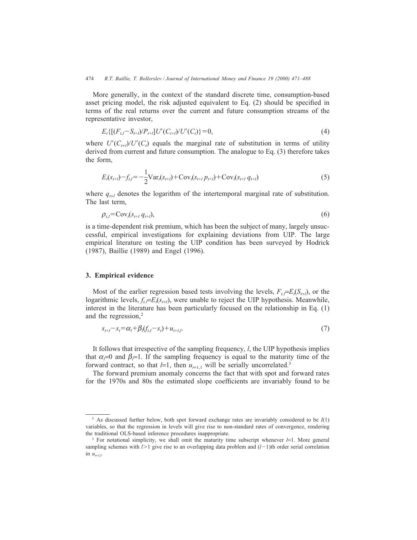#### 474 *R.T. Baillie, T. Bollerslev / Journal of International Money and Finance 19 (2000) 471–488*

More generally, in the context of the standard discrete time, consumption-based asset pricing model, the risk adjusted equivalent to Eq. (2) should be specified in terms of the real returns over the current and future consumption streams of the representative investor,

$$
E_t\{[(F_{t,l}-S_{t+l})/P_{t+l}]\}U'(C_{t+l})/U'(C_t)\}=0,
$$
\n(4)

where  $U'(C_{t+1})/U'(C_t)$  equals the marginal rate of substitution in terms of utility derived from current and future consumption. The analogue to Eq. (3) therefore takes the form,

$$
E_t(s_{t+1}) - f_{t,l} = -\frac{1}{2} \text{Var}_t(s_{t+1}) + \text{Cov}_t(s_{t+1} p_{t+1}) + \text{Cov}_t(s_{t+1} q_{t+1})
$$
(5)

where  $q_{t+1}$  denotes the logarithm of the intertemporal marginal rate of substitution. The last term,

$$
\rho_{t,l} = \text{Cov}_t(s_{t+l} q_{t+l}),\tag{6}
$$

is a time-dependent risk premium, which has been the subject of many, largely unsuccessful, empirical investigations for explaining deviations from UIP. The large empirical literature on testing the UIP condition has been surveyed by Hodrick (1987), Baillie (1989) and Engel (1996).

#### **3. Empirical evidence**

Most of the earlier regression based tests involving the levels,  $F_{t_i} = E_t(S_{t+1})$ , or the logarithmic levels,  $f_{t_i} = E_t(s_{t+1})$ , were unable to reject the UIP hypothesis. Meanwhile, interest in the literature has been particularly focused on the relationship in Eq. (1) and the regression, $2$ 

$$
s_{t+l} - s_t = \alpha_l + \beta_l (f_{t,l} - s_t) + u_{t+l,l}.
$$
\n(7)

It follows that irrespective of the sampling frequency, *l*, the UIP hypothesis implies that  $\alpha_l = 0$  and  $\beta_l = 1$ . If the sampling frequency is equal to the maturity time of the forward contract, so that  $l=1$ , then  $u_{t+1,1}$  will be serially uncorrelated.<sup>3</sup>

The forward premium anomaly concerns the fact that with spot and forward rates for the 1970s and 80s the estimated slope coefficients are invariably found to be

<sup>2</sup> As discussed further below, both spot forward exchange rates are invariably considered to be *I*(1) variables, so that the regression in levels will give rise to non-standard rates of convergence, rendering the traditional OLS-based inference procedures inappropriate.

<sup>&</sup>lt;sup>3</sup> For notational simplicity, we shall omit the maturity time subscript whenever  $l=1$ . More general sampling schemes with  $l > 1$  give rise to an overlapping data problem and  $(l-1)$ th order serial correlation in  $u_{t+l,l}$ .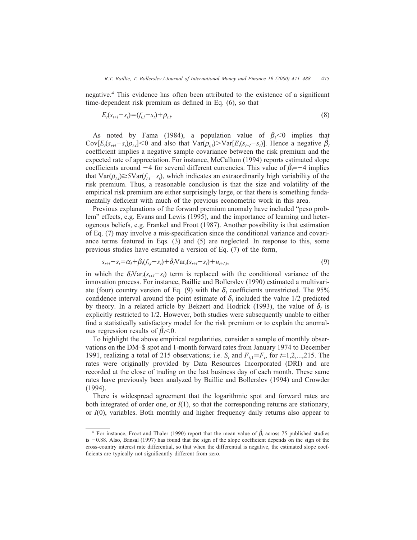negative.<sup>4</sup> This evidence has often been attributed to the existence of a significant time-dependent risk premium as defined in Eq. (6), so that

$$
E_t(s_{t+1}-s_t) = (f_{t,t}-s_t) + \rho_{t,t}.\tag{8}
$$

As noted by Fama (1984), a population value of  $\beta$ <sub>*l*</sub><0 implies that  $Cov[E_{\ell}(s_{\ell+1}-s_{\ell})\rho_{\ell,\ell}]$  < 0 and also that  $Var(\rho_{\ell,\ell})>Var[E_{\ell}(s_{\ell+1}-s_{\ell})]$ . Hence a negative  $\hat{\beta}_{\ell}$ coefficient implies a negative sample covariance between the risk premium and the expected rate of appreciation. For instance, McCallum (1994) reports estimated slope coefficients around  $-4$  for several different currencies. This value of  $\hat{\beta}_r = -4$  implies that  $\text{Var}(\rho_{t,l}) \ge 5\text{Var}(f_{t,l} - s_t)$ , which indicates an extraordinarily high variability of the risk premium. Thus, a reasonable conclusion is that the size and volatility of the empirical risk premium are either surprisingly large, or that there is something fundamentally deficient with much of the previous econometric work in this area.

Previous explanations of the forward premium anomaly have included "peso problem" effects, e.g. Evans and Lewis (1995), and the importance of learning and heterogenous beliefs, e.g. Frankel and Froot (1987). Another possibility is that estimation of Eq. (7) may involve a mis-specification since the conditional variance and covariance terms featured in Eqs. (3) and (5) are neglected. In response to this, some previous studies have estimated a version of Eq. (7) of the form,

$$
s_{t+1} - s_t = \alpha_t + \beta_t (f_{t,t} - s_t) + \delta_t \text{Var}_t (s_{t+1} - s_t) + u_{t+1,t},
$$
\n(9)

in which the  $\delta_l \text{Var}_l(s_{l+1} - s_l)$  term is replaced with the conditional variance of the innovation process. For instance, Baillie and Bollerslev (1990) estimated a multivariate (four) country version of Eq. (9) with the  $\delta_l$  coefficients unrestricted. The 95% confidence interval around the point estimate of  $\delta_l$  included the value 1/2 predicted by theory. In a related article by Bekaert and Hodrick (1993), the value of  $\delta_l$  is explicitly restricted to 1/2. However, both studies were subsequently unable to either find a statistically satisfactory model for the risk premium or to explain the anomalous regression results of  $\hat{\beta}_i$ <0.

To highlight the above empirical regularities, consider a sample of monthly observations on the DM–\$ spot and 1-month forward rates from January 1974 to December 1991, realizing a total of 215 observations; i.e.  $S_t$  and  $F_{t,1} = F_t$ , for  $t=1,2,...,215$ . The rates were originally provided by Data Resources Incorporated (DRI) and are recorded at the close of trading on the last business day of each month. These same rates have previously been analyzed by Baillie and Bollerslev (1994) and Crowder (1994).

There is widespread agreement that the logarithmic spot and forward rates are both integrated of order one, or  $I(1)$ , so that the corresponding returns are stationary, or *I*(0), variables. Both monthly and higher frequency daily returns also appear to

<sup>&</sup>lt;sup>4</sup> For instance, Froot and Thaler (1990) report that the mean value of  $\hat{\beta}_l$  across 75 published studies is -0.88. Also, Bansal (1997) has found that the sign of the slope coefficient depends on the sign of the cross-country interest rate differential, so that when the differential is negative, the estimated slope coefficients are typically not significantly different from zero.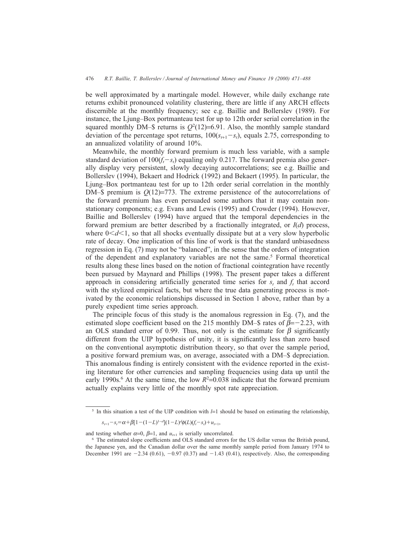be well approximated by a martingale model. However, while daily exchange rate returns exhibit pronounced volatility clustering, there are little if any ARCH effects discernible at the monthly frequency; see e.g. Baillie and Bollerslev (1989). For instance, the Ljung–Box portmanteau test for up to 12th order serial correlation in the squared monthly DM–\$ returns is  $Q^2(12)=6.91$ . Also, the monthly sample standard deviation of the percentage spot returns,  $100(s_{t+1} - s_t)$ , equals 2.75, corresponding to an annualized volatility of around 10%.

Meanwhile, the monthly forward premium is much less variable, with a sample standard deviation of  $100(f_t - s_t)$  equaling only 0.217. The forward premia also generally display very persistent, slowly decaying autocorrelations; see e.g. Baillie and Bollerslev (1994), Bekaert and Hodrick (1992) and Bekaert (1995). In particular, the Ljung–Box portmanteau test for up to 12th order serial correlation in the monthly DM–\$ premium is  $O(12)=773$ . The extreme persistence of the autocorrelations of the forward premium has even persuaded some authors that it may contain nonstationary components; e.g. Evans and Lewis (1995) and Crowder (1994). However, Baillie and Bollerslev (1994) have argued that the temporal dependencies in the forward premium are better described by a fractionally integrated, or *I*(*d*) process, where  $0 \le d \le 1$ , so that all shocks eventually dissipate but at a very slow hyperbolic rate of decay. One implication of this line of work is that the standard unbiasedness regression in Eq. (7) may not be "balanced", in the sense that the orders of integration of the dependent and explanatory variables are not the same.<sup>5</sup> Formal theoretical results along these lines based on the notion of fractional cointegration have recently been pursued by Maynard and Phillips (1998). The present paper takes a different approach in considering artificially generated time series for  $s<sub>i</sub>$  and  $f<sub>i</sub>$  that accord with the stylized empirical facts, but where the true data generating process is motivated by the economic relationships discussed in Section 1 above, rather than by a purely expedient time series approach.

The principle focus of this study is the anomalous regression in Eq. (7), and the estimated slope coefficient based on the 215 monthly DM–\$ rates of  $\hat{\beta} = -2.23$ , with an OLS standard error of 0.99. Thus, not only is the estimate for  $\beta$  significantly different from the UIP hypothesis of unity, it is significantly less than zero based on the conventional asymptotic distribution theory, so that over the sample period, a positive forward premium was, on average, associated with a DM–\$ depreciation. This anomalous finding is entirely consistent with the evidence reported in the existing literature for other currencies and sampling frequencies using data up until the early 1990s.<sup>6</sup> At the same time, the low  $R^2=0.038$  indicate that the forward premium actually explains very little of the monthly spot rate appreciation.

$$
s_{t+1} - s_t = \alpha + \beta [1 - (1 - L)^{1 - d}](1 - L)^d \phi(L) (f_t - s_t) + u_{t+1},
$$

<sup>&</sup>lt;sup>5</sup> In this situation a test of the UIP condition with  $l=1$  should be based on estimating the relationship,

and testing whether  $\alpha=0$ ,  $\beta=1$ , and  $u_{t+1}$  is serially uncorrelated.<br><sup>6</sup> The estimated slope coefficients and OLS standard errors for the US dollar versus the British pound, the Japanese yen, and the Canadian dollar over the same monthly sample period from January 1974 to December 1991 are  $-2.34$  (0.61),  $-0.97$  (0.37) and  $-1.43$  (0.41), respectively. Also, the corresponding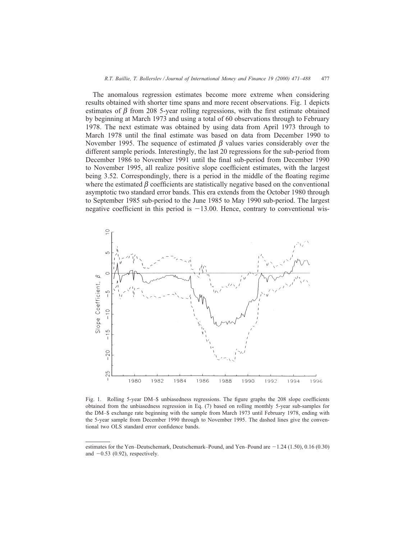The anomalous regression estimates become more extreme when considering results obtained with shorter time spans and more recent observations. Fig. 1 depicts estimates of  $\beta$  from 208 5-year rolling regressions, with the first estimate obtained by beginning at March 1973 and using a total of 60 observations through to February 1978. The next estimate was obtained by using data from April 1973 through to March 1978 until the final estimate was based on data from December 1990 to November 1995. The sequence of estimated  $\beta$  values varies considerably over the different sample periods. Interestingly, the last 20 regressions for the sub-period from December 1986 to November 1991 until the final sub-period from December 1990 to November 1995, all realize positive slope coefficient estimates, with the largest being 3.52. Correspondingly, there is a period in the middle of the floating regime where the estimated  $\beta$  coefficients are statistically negative based on the conventional asymptotic two standard error bands. This era extends from the October 1980 through to September 1985 sub-period to the June 1985 to May 1990 sub-period. The largest negative coefficient in this period is  $-13.00$ . Hence, contrary to conventional wis-



Fig. 1. Rolling 5-year DM–\$ unbiasedness regressions. The figure graphs the 208 slope coefficients obtained from the unbiasedness regression in Eq. (7) based on rolling monthly 5-year sub-samples for the DM–\$ exchange rate beginning with the sample from March 1973 until February 1978, ending with the 5-year sample from December 1990 through to November 1995. The dashed lines give the conventional two OLS standard error confidence bands.

estimates for the Yen–Deutschemark, Deutschemark–Pound, and Yen–Pound are -1.24 (1.50), 0.16 (0.30) and  $-0.53$  (0.92), respectively.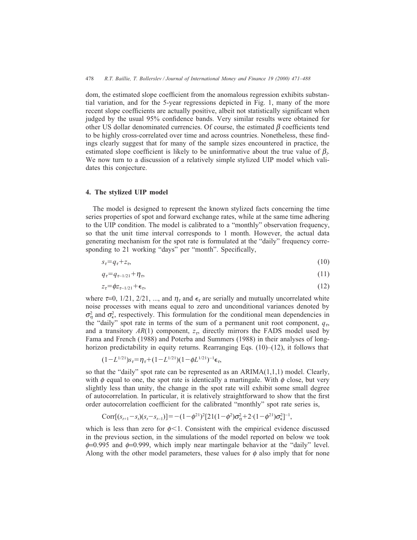dom, the estimated slope coefficient from the anomalous regression exhibits substantial variation, and for the 5-year regressions depicted in Fig. 1, many of the more recent slope coefficients are actually positive, albeit not statistically significant when judged by the usual 95% confidence bands. Very similar results were obtained for other US dollar denominated currencies. Of course, the estimated  $\beta$  coefficients tend to be highly cross-correlated over time and across countries. Nonetheless, these findings clearly suggest that for many of the sample sizes encountered in practice, the estimated slope coefficient is likely to be uninformative about the true value of  $\beta$ <sub>l</sub>. We now turn to a discussion of a relatively simple stylized UIP model which validates this conjecture.

#### **4. The stylized UIP model**

The model is designed to represent the known stylized facts concerning the time series properties of spot and forward exchange rates, while at the same time adhering to the UIP condition. The model is calibrated to a "monthly" observation frequency, so that the unit time interval corresponds to 1 month. However, the actual data generating mechanism for the spot rate is formulated at the "daily" frequency corresponding to 21 working "days" per "month". Specifically,

$$
s_{\tau} = q_{\tau} + z_{\tau},\tag{10}
$$

$$
q_{\tau} = q_{\tau - 1/21} + \eta_{\tau},\tag{11}
$$

$$
z_{\tau} = \phi z_{\tau - 1/21} + \epsilon_{\tau},\tag{12}
$$

where  $\tau$ =0, 1/21, 2/21, ..., and  $\eta_{\tau}$  and  $\epsilon_{\tau}$  are serially and mutually uncorrelated white noise processes with means equal to zero and unconditional variances denoted by  $\sigma_{\eta}^2$  and  $\sigma_{\epsilon}^2$ , respectively. This formulation for the conditional mean dependencies in the "daily" spot rate in terms of the sum of a permanent unit root component,  $q<sub>z</sub>$ , and a transitory  $AR(1)$  component,  $z<sub>\tau</sub>$ , directly mirrors the FADS model used by Fama and French (1988) and Poterba and Summers (1988) in their analyses of longhorizon predictability in equity returns. Rearranging Eqs.  $(10)$ – $(12)$ , it follows that

$$
(1 - L^{1/21})s_{\tau} = \eta_{\tau} + (1 - L^{1/21})(1 - \phi L^{1/21})^{-1} \epsilon_{\tau},
$$

so that the "daily" spot rate can be represented as an  $ARIMA(1,1,1)$  model. Clearly, with  $\phi$  equal to one, the spot rate is identically a martingale. With  $\phi$  close, but very slightly less than unity, the change in the spot rate will exhibit some small degree of autocorrelation. In particular, it is relatively straightforward to show that the first order autocorrelation coefficient for the calibrated "monthly" spot rate series is,

Corr
$$
[(s_{t+1}-s_t)(s_t-s_{t-1})]=-(1-\phi^{21})^2[21(1-\phi^2)\sigma_\eta^2+2\cdot(1-\phi^{21})\sigma_\varepsilon^2]^{-1},
$$

which is less than zero for  $\phi \leq 1$ . Consistent with the empirical evidence discussed in the previous section, in the simulations of the model reported on below we took  $\phi$ =0.995 and  $\phi$ =0.999, which imply near martingale behavior at the "daily" level. Along with the other model parameters, these values for  $\phi$  also imply that for none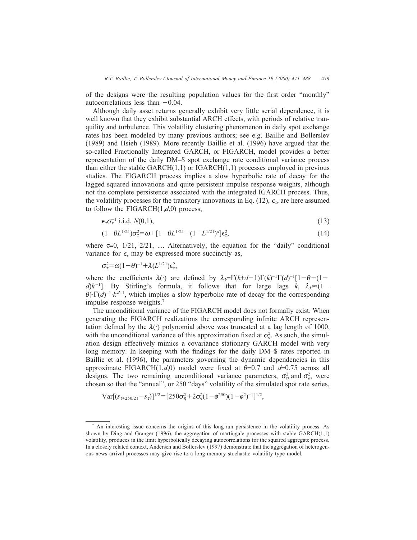of the designs were the resulting population values for the first order "monthly" autocorrelations less than  $-0.04$ .

Although daily asset returns generally exhibit very little serial dependence, it is well known that they exhibit substantial ARCH effects, with periods of relative tranquility and turbulence. This volatility clustering phenomenon in daily spot exchange rates has been modeled by many previous authors; see e.g. Baillie and Bollerslev (1989) and Hsieh (1989). More recently Baillie et al. (1996) have argued that the so-called Fractionally Integrated GARCH, or FIGARCH, model provides a better representation of the daily DM–\$ spot exchange rate conditional variance process than either the stable  $GARCH(1,1)$  or  $IGARCH(1,1)$  processes employed in previous studies. The FIGARCH process implies a slow hyperbolic rate of decay for the lagged squared innovations and quite persistent impulse response weights, although not the complete persistence associated with the integrated IGARCH process. Thus, the volatility processes for the transitory innovations in Eq. (12),  $\epsilon_{\tau}$ , are here assumed to follow the FIGARCH(1,*d*,0) process,

$$
\epsilon_{\tau}\sigma_{\tau}^{-1} \text{ i.i.d. } N(0,1), \tag{13}
$$

$$
(1 - \theta L^{1/21})\sigma_{\tau}^2 = \omega + [1 - \theta L^{1/21} - (1 - L^{1/21})^d] \epsilon_{\tau}^2, \tag{14}
$$

where  $\tau=0$ ,  $1/21$ ,  $2/21$ , .... Alternatively, the equation for the "daily" conditional variance for  $\epsilon_{\tau}$  may be expressed more succinctly as,

$$
\sigma_{\tau}^2 = \omega(1-\theta)^{-1} + \lambda(L^{1/21})\epsilon_{\tau}^2,
$$

where the coefficients  $\lambda(\cdot)$  are defined by  $\lambda_k = \Gamma(k+d-1)\Gamma(k)^{-1}\Gamma(d)^{-1}[1-\theta-(1-\theta)]$  $d/k^{-1}$ ]. By Stirling's formula, it follows that for large lags  $k$ ,  $\lambda_k \approx (1 - k)$  $\theta$ )  $\Gamma(d)^{-1}$ *k*<sup>d-1</sup>, which implies a slow hyperbolic rate of decay for the corresponding impulse response weights.7

The unconditional variance of the FIGARCH model does not formally exist. When generating the FIGARCH realizations the corresponding infinite ARCH representation defined by the  $\lambda(\cdot)$  polynomial above was truncated at a lag length of 1000, with the unconditional variance of this approximation fixed at  $\sigma_{\epsilon}^2$ . As such, the simulation design effectively mimics a covariance stationary GARCH model with very long memory. In keeping with the findings for the daily DM–\$ rates reported in Baillie et al. (1996), the parameters governing the dynamic dependencies in this approximate FIGARCH(1,*d*,0) model were fixed at  $\theta$ =0.7 and *d*=0.75 across all designs. The two remaining unconditional variance parameters,  $\sigma_{\eta}^2$  and  $\sigma_{\epsilon}^2$ , were chosen so that the "annual", or 250 "days" volatility of the simulated spot rate series,

Var
$$
[(s_{\tau+250/21}-s_{\tau})]^{1/2}=[250\sigma_{\eta}^2+2\sigma_{\epsilon}^2(1-\phi^{250})(1-\phi^2)^{-1}]^{1/2},
$$

<sup>7</sup> An interesting issue concerns the origins of this long-run persistence in the volatility process. As shown by Ding and Granger  $(1996)$ , the aggregation of martingale processes with stable  $GARCH(1,1)$ volatility, produces in the limit hyperbolically decaying autocorrelations for the squared aggregate process. In a closely related context, Andersen and Bollerslev (1997) demonstrate that the aggregation of heterogenous news arrival processes may give rise to a long-memory stochastic volatility type model.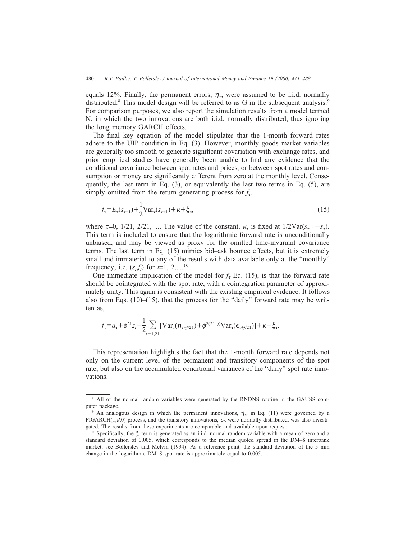equals 12%. Finally, the permanent errors,  $\eta_r$ , were assumed to be i.i.d. normally distributed.<sup>8</sup> This model design will be referred to as G in the subsequent analysis.<sup>9</sup> For comparison purposes, we also report the simulation results from a model termed N, in which the two innovations are both i.i.d. normally distributed, thus ignoring the long memory GARCH effects.

The final key equation of the model stipulates that the 1-month forward rates adhere to the UIP condition in Eq. (3). However, monthly goods market variables are generally too smooth to generate significant covariation with exchange rates, and prior empirical studies have generally been unable to find any evidence that the conditional covariance between spot rates and prices, or between spot rates and consumption or money are significantly different from zero at the monthly level. Consequently, the last term in Eq.  $(3)$ , or equivalently the last two terms in Eq.  $(5)$ , are simply omitted from the return generating process for  $f<sub>\tau</sub>$ ,

$$
f_{\tau} = E_{\tau}(s_{\tau+1}) + \frac{1}{2} \text{Var}_{\tau}(s_{\tau+1}) + \kappa + \xi_{\tau},\tag{15}
$$

where  $\tau=0$ , 1/21, 2/21, .... The value of the constant,  $\kappa$ , is fixed at  $1/2\text{Var}(s_{\tau+1}-s_{\tau})$ . This term is included to ensure that the logarithmic forward rate is unconditionally unbiased, and may be viewed as proxy for the omitted time-invariant covariance terms. The last term in Eq. (15) mimics bid–ask bounce effects, but it is extremely small and immaterial to any of the results with data available only at the "monthly" frequency; i.e.  $(s_{i}f_{t})$  for  $t=1, 2,...$ <sup>10</sup>

One immediate implication of the model for  $f_\tau$  Eq. (15), is that the forward rate should be cointegrated with the spot rate, with a cointegration parameter of approximately unity. This again is consistent with the existing empirical evidence. It follows also from Eqs.  $(10)$ – $(15)$ , that the process for the "daily" forward rate may be written as,

$$
f_{\tau} = q_{\tau} + \phi^{21} z_{t} + \frac{1}{2} \sum_{j=1,21} [\text{Var}_{\tau}(\eta_{\tau+j/21}) + \phi^{2(21-j)} \text{Var}_{\tau}(\epsilon_{\tau+j/21})] + \kappa + \xi_{\tau}.
$$

This representation highlights the fact that the 1-month forward rate depends not only on the current level of the permanent and transitory components of the spot rate, but also on the accumulated conditional variances of the "daily" spot rate innovations.

<sup>&</sup>lt;sup>8</sup> All of the normal random variables were generated by the RNDNS routine in the GAUSS computer package.

<sup>&</sup>lt;sup>9</sup> An analogous design in which the permanent innovations,  $\eta_{\tau}$ , in Eq. (11) were governed by a FIGARCH(1,*d*,0) process, and the transitory innovations,  $\epsilon_r$ , were normally distributed, was also investigated. The results from these experiments are comparable and available upon request.

<sup>&</sup>lt;sup>10</sup> Specifically, the  $\xi$  term is generated as an i.i.d. normal random variable with a mean of zero and a standard deviation of 0.005, which corresponds to the median quoted spread in the DM–\$ interbank market; see Bollerslev and Melvin (1994). As a reference point, the standard deviation of the 5 min change in the logarithmic DM–\$ spot rate is approximately equal to 0.005.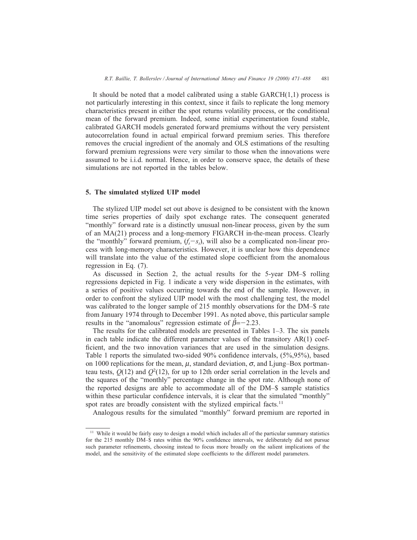It should be noted that a model calibrated using a stable  $GARCH(1,1)$  process is not particularly interesting in this context, since it fails to replicate the long memory characteristics present in either the spot returns volatility process, or the conditional mean of the forward premium. Indeed, some initial experimentation found stable, calibrated GARCH models generated forward premiums without the very persistent autocorrelation found in actual empirical forward premium series. This therefore removes the crucial ingredient of the anomaly and OLS estimations of the resulting forward premium regressions were very similar to those when the innovations were assumed to be i.i.d. normal. Hence, in order to conserve space, the details of these simulations are not reported in the tables below.

#### **5. The simulated stylized UIP model**

The stylized UIP model set out above is designed to be consistent with the known time series properties of daily spot exchange rates. The consequent generated "monthly" forward rate is a distinctly unusual non-linear process, given by the sum of an MA(21) process and a long-memory FIGARCH in-the-mean process. Clearly the "monthly" forward premium,  $(f_t - s_t)$ , will also be a complicated non-linear process with long-memory characteristics. However, it is unclear how this dependence will translate into the value of the estimated slope coefficient from the anomalous regression in Eq. (7).

As discussed in Section 2, the actual results for the 5-year DM–\$ rolling regressions depicted in Fig. 1 indicate a very wide dispersion in the estimates, with a series of positive values occurring towards the end of the sample. However, in order to confront the stylized UIP model with the most challenging test, the model was calibrated to the longer sample of 215 monthly observations for the DM–\$ rate from January 1974 through to December 1991. As noted above, this particular sample results in the "anomalous" regression estimate of  $\hat{\beta} = -2.23$ .

The results for the calibrated models are presented in Tables 1–3. The six panels in each table indicate the different parameter values of the transitory AR(1) coefficient, and the two innovation variances that are used in the simulation designs. Table 1 reports the simulated two-sided 90% confidence intervals, (5%,95%), based on 1000 replications for the mean,  $\mu$ , standard deviation,  $\sigma$ , and Ljung–Box portmanteau tests,  $Q(12)$  and  $Q<sup>2</sup>(12)$ , for up to 12th order serial correlation in the levels and the squares of the "monthly" percentage change in the spot rate. Although none of the reported designs are able to accommodate all of the DM–\$ sample statistics within these particular confidence intervals, it is clear that the simulated "monthly" spot rates are broadly consistent with the stylized empirical facts.<sup>11</sup>

Analogous results for the simulated "monthly" forward premium are reported in

<sup>&</sup>lt;sup>11</sup> While it would be fairly easy to design a model which includes all of the particular summary statistics for the 215 monthly DM–\$ rates within the 90% confidence intervals, we deliberately did not pursue such parameter refinements, choosing instead to focus more broadly on the salient implications of the model, and the sensitivity of the estimated slope coefficients to the different model parameters.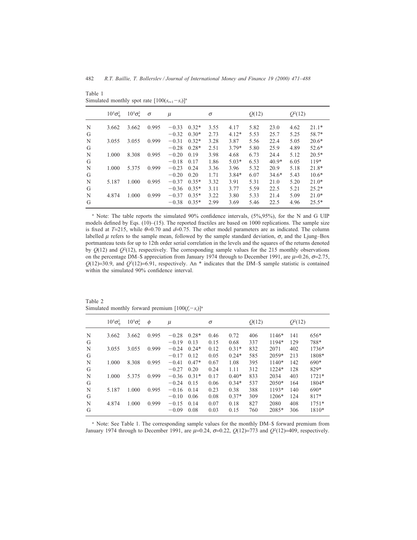482 *R.T. Baillie, T. Bollerslev / Journal of International Money and Finance 19 (2000) 471–488*

|   | $10^5\sigma_n^2$ | $10^5 \sigma_{\epsilon}^2$ | $\sigma$ | $\mu$   |         | $\sigma$ |         | Q(12) |         | $Q^2(12)$ |         |
|---|------------------|----------------------------|----------|---------|---------|----------|---------|-------|---------|-----------|---------|
| N | 3.662            | 3.662                      | 0.995    | $-0.33$ | $0.32*$ | 3.55     | 4.17    | 5.82  | 23.0    | 4.62      | $21.1*$ |
| G |                  |                            |          | $-0.32$ | $0.30*$ | 2.73     | $4.12*$ | 5.53  | 25.7    | 5.25      | 58.7*   |
| N | 3.055            | 3.055                      | 0.999    | $-0.31$ | $0.32*$ | 3.28     | 3.87    | 5.56  | 22.4    | 5.05      | $20.6*$ |
| G |                  |                            |          | $-0.28$ | $0.28*$ | 2.51     | $3.79*$ | 5.80  | 25.9    | 4.89      | $52.6*$ |
| N | 1.000            | 8.308                      | 0.995    | $-0.20$ | 0.19    | 3.98     | 4.68    | 6.73  | 24.4    | 5.12      | $20.5*$ |
| G |                  |                            |          | $-0.18$ | 0.17    | 1.86     | $5.03*$ | 6.53  | $40.9*$ | 6.05      | $119*$  |
| N | 1.000            | 5.375                      | 0.999    | $-0.23$ | 0.24    | 3.36     | 3.96    | 5.32  | 20.9    | 5.18      | $21.8*$ |
| G |                  |                            |          | $-0.20$ | 0.20    | 1.71     | $3.84*$ | 6.07  | $34.6*$ | 5.43      | $10.6*$ |
| N | 5.187            | 1.000                      | 0.995    | $-0.37$ | $0.35*$ | 3.32     | 3.91    | 5.31  | 21.0    | 5.20      | $21.0*$ |
| G |                  |                            |          | $-0.36$ | $0.35*$ | 3.11     | 3.77    | 5.59  | 22.5    | 5.21      | $25.2*$ |
| N | 4.874            | 1.000                      | 0.999    | $-0.37$ | $0.35*$ | 3.22     | 3.80    | 5.33  | 21.4    | 5.09      | $21.0*$ |
| G |                  |                            |          | $-0.38$ | $0.35*$ | 2.99     | 3.69    | 5.46  | 22.5    | 4.96      | $25.5*$ |

Table 1 Simulated monthly spot rate  $[100(s_{t+1}-s_t)]^a$ 

<sup>a</sup> Note: The table reports the simulated 90% confidence intervals,  $(5\%, 95\%)$ , for the N and G UIP models defined by Eqs.  $(10)$ – $(15)$ . The reported fractiles are based on 1000 replications. The sample size is fixed at  $T=215$ , while  $\theta=0.70$  and  $d=0.75$ . The other model parameters are as indicated. The column labelled  $\mu$  refers to the sample mean, followed by the sample standard deviation,  $\sigma$ , and the Ljung–Box portmanteau tests for up to 12th order serial correlation in the levels and the squares of the returns denoted by  $Q(12)$  and  $Q<sup>2</sup>(12)$ , respectively. The corresponding sample values for the 215 monthly observations on the percentage DM–\$ appreciation from January 1974 through to December 1991, are  $\mu$ =0.26,  $\sigma$ =2.75,  $Q(12)=30.9$ , and  $Q^2(12)=6.91$ , respectively. An  $*$  indicates that the DM–\$ sample statistic is contained within the simulated 90% confidence interval.

Table 2 Simulated monthly forward premium  $[100(f_t - s_t)]^a$ 

|   | $10^5 \sigma_n^2$ | $10^5 \sigma_{\epsilon}^2$ | $\phi$ | $\mu$   |         | $\sigma$ |         | Q(12) |         | $Q^2(12)$ |         |
|---|-------------------|----------------------------|--------|---------|---------|----------|---------|-------|---------|-----------|---------|
| N | 3.662             | 3.662                      | 0.995  | $-0.28$ | $0.28*$ | 0.46     | 0.72    | 406   | $1146*$ | 141       | $656*$  |
| G |                   |                            |        | $-0.19$ | 0.13    | 0.15     | 0.68    | 337   | $1194*$ | 129       | 788*    |
| N | 3.055             | 3.055                      | 0.999  | $-0.24$ | $0.24*$ | 0.12     | $0.31*$ | 832   | 2071    | 402       | $1736*$ |
| G |                   |                            |        | $-0.17$ | 0.12    | 0.05     | $0.24*$ | 585   | $2059*$ | 213       | 1808*   |
| N | 1.000             | 8.308                      | 0.995  | $-0.41$ | $0.47*$ | 0.67     | 1.08    | 395   | $1140*$ | 142       | $690*$  |
| G |                   |                            |        | $-0.27$ | 0.20    | 0.24     | 1.11    | 312   | $1224*$ | 128       | 829*    |
| N | 1.000             | 5.375                      | 0.999  | $-0.36$ | $0.31*$ | 0.17     | $0.40*$ | 833   | 2034    | 403       | $1721*$ |
| G |                   |                            |        | $-0.24$ | 0.15    | 0.06     | $0.34*$ | 537   | $2050*$ | 164       | $1804*$ |
| N | 5.187             | 1.000                      | 0.995  | $-0.16$ | 0.14    | 0.23     | 0.38    | 388   | $1193*$ | 140       | $690*$  |
| G |                   |                            |        | $-0.10$ | 0.06    | 0.08     | $0.37*$ | 309   | $1206*$ | 124       | 817*    |
| N | 4.874             | 1.000                      | 0.999  | $-0.15$ | 0.14    | 0.07     | 0.18    | 827   | 2080    | 408       | $1751*$ |
| G |                   |                            |        | $-0.09$ | 0.08    | 0.03     | 0.15    | 760   | 2085*   | 306       | 1810*   |
|   |                   |                            |        |         |         |          |         |       |         |           |         |

<sup>a</sup> Note: See Table 1. The corresponding sample values for the monthly DM–\$ forward premium from January 1974 through to December 1991, are  $\mu=0.24$ ,  $\sigma=0.22$ ,  $Q(12)=773$  and  $Q^2(12)=409$ , respectively.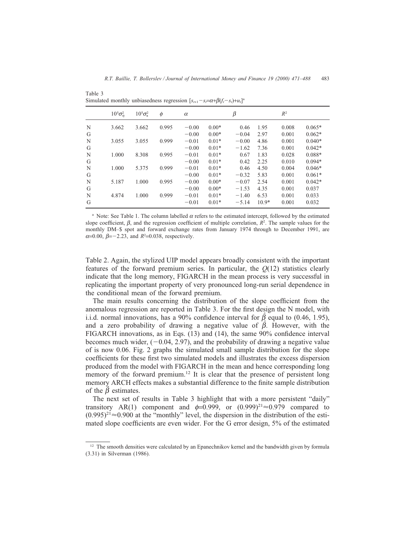|   | $10^5\sigma_n^2$ | $10^5 \sigma_{\epsilon}^2$ | $\phi$ | $\alpha$ |         | β       |         | $R^2$ |          |
|---|------------------|----------------------------|--------|----------|---------|---------|---------|-------|----------|
| N | 3.662            | 3.662                      | 0.995  | $-0.00$  | $0.00*$ | 0.46    | 1.95    | 0.008 | $0.065*$ |
| G |                  |                            |        | $-0.00$  | $0.00*$ | $-0.04$ | 2.97    | 0.001 | $0.062*$ |
| N | 3.055            | 3.055                      | 0.999  | $-0.01$  | $0.01*$ | $-0.00$ | 4.86    | 0.001 | $0.040*$ |
| G |                  |                            |        | $-0.00$  | $0.01*$ | $-1.62$ | 7.36    | 0.001 | $0.042*$ |
| N | 1.000            | 8.308                      | 0.995  | $-0.01$  | $0.01*$ | 0.67    | 1.83    | 0.028 | $0.088*$ |
| G |                  |                            |        | $-0.00$  | $0.01*$ | 0.42    | 2.25    | 0.010 | $0.094*$ |
| N | 1.000            | 5.375                      | 0.999  | $-0.01$  | $0.01*$ | 0.46    | 4.50    | 0.004 | $0.046*$ |
| G |                  |                            |        | $-0.00$  | $0.01*$ | $-0.32$ | 5.83    | 0.001 | $0.061*$ |
| N | 5.187            | 1.000                      | 0.995  | $-0.00$  | $0.00*$ | $-0.07$ | 2.54    | 0.001 | $0.042*$ |
| G |                  |                            |        | $-0.00$  | $0.00*$ | $-1.53$ | 4.35    | 0.001 | 0.037    |
| N | 4.874            | 1.000                      | 0.999  | $-0.01$  | $0.01*$ | $-1.40$ | 6.53    | 0.001 | 0.033    |
| G |                  |                            |        | $-0.01$  | $0.01*$ | $-5.14$ | $10.9*$ | 0.001 | 0.032    |
|   |                  |                            |        |          |         |         |         |       |          |

Table 3 Simulated monthly unbiasedness regression  $[s_{t+1} - s_t = \alpha + \beta(f_t - s_t) + u_t]^a$ 

<sup>a</sup> Note: See Table 1. The column labelled  $\alpha$  refers to the estimated intercept, followed by the estimated slope coefficient,  $\beta$ , and the regression coefficient of multiple correlation,  $\mathbb{R}^2$ . The sample values for the monthly DM–\$ spot and forward exchange rates from January 1974 through to December 1991, are  $\alpha$ =0.00,  $\beta$ =-2.23, and  $R^2$ =0.038, respectively.

Table 2. Again, the stylized UIP model appears broadly consistent with the important features of the forward premium series. In particular, the *Q*(12) statistics clearly indicate that the long memory, FIGARCH in the mean process is very successful in replicating the important property of very pronounced long-run serial dependence in the conditional mean of the forward premium.

The main results concerning the distribution of the slope coefficient from the anomalous regression are reported in Table 3. For the first design the N model, with i.i.d. normal innovations, has a 90% confidence interval for  $\hat{\beta}$  equal to (0.46, 1.95), and a zero probability of drawing a negative value of  $\hat{\beta}$ . However, with the FIGARCH innovations, as in Eqs. (13) and (14), the same 90% confidence interval becomes much wider,  $(-0.04, 2.97)$ , and the probability of drawing a negative value of is now 0.06. Fig. 2 graphs the simulated small sample distribution for the slope coefficients for these first two simulated models and illustrates the excess dispersion produced from the model with FIGARCH in the mean and hence corresponding long memory of the forward premium.<sup>12</sup> It is clear that the presence of persistent long memory ARCH effects makes a substantial difference to the finite sample distribution of the  $\hat{\beta}$  estimates.

The next set of results in Table 3 highlight that with a more persistent "daily" transitory AR(1) component and  $\phi=0.999$ , or  $(0.999)^{21} \approx 0.979$  compared to  $(0.995)^{21} \approx 0.900$  at the "monthly" level, the dispersion in the distribution of the estimated slope coefficients are even wider. For the G error design, 5% of the estimated

<sup>&</sup>lt;sup>12</sup> The smooth densities were calculated by an Epanechnikov kernel and the bandwidth given by formula (3.31) in Silverman (1986).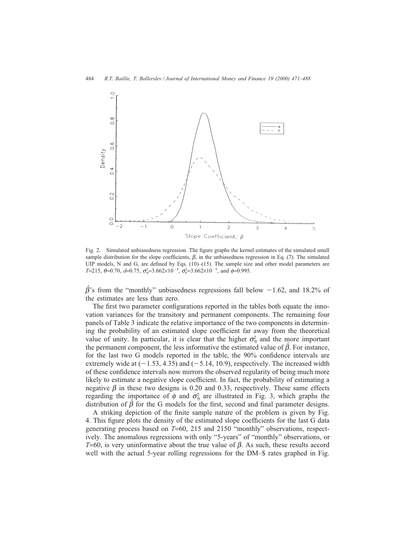

Fig. 2. Simulated unbiasedness regression. The figure graphs the kernel estimates of the simulated small sample distribution for the slope coefficients,  $\beta$ , in the unbiasedness regression in Eq. (7). The simulated UIP models, N and G, are defined by Eqs. (10)–(15). The sample size and other model parameters are *T*=215,  $\theta$ =0.70,  $d$ =0.75,  $\sigma_{\eta}^2$ =3.662×10<sup>-5</sup>,  $\sigma_{\epsilon}^2$ =3.662×10<sup>-5</sup>, and  $\phi$ =0.995.

 $\hat{\beta}$ 's from the "monthly" unbiasedness regressions fall below  $-1.62$ , and 18.2% of the estimates are less than zero.

The first two parameter configurations reported in the tables both equate the innovation variances for the transitory and permanent components. The remaining four panels of Table 3 indicate the relative importance of the two components in determining the probability of an estimated slope coefficient far away from the theoretical value of unity. In particular, it is clear that the higher  $\sigma_n^2$  and the more important the permanent component, the less informative the estimated value of  $\hat{\beta}$ . For instance, for the last two G models reported in the table, the 90% confidence intervals are extremely wide at  $(-1.53, 4.35)$  and  $(-5.14, 10.9)$ , respectively. The increased width of these confidence intervals now mirrors the observed regularity of being much more likely to estimate a negative slope coefficient. In fact, the probability of estimating a negative  $\beta$  in these two designs is 0.20 and 0.33, respectively. These same effects regarding the importance of  $\phi$  and  $\sigma_n^2$  are illustrated in Fig. 3, which graphs the distribution of  $\hat{\beta}$  for the G models for the first, second and final parameter designs.

A striking depiction of the finite sample nature of the problem is given by Fig. 4. This figure plots the density of the estimated slope coefficients for the last G data generating process based on *T*=60, 215 and 2150 "monthly" observations, respectively. The anomalous regressions with only "5-years" of "monthly" observations, or *T*=60, is very uninformative about the true value of  $\beta$ . As such, these results accord well with the actual 5-year rolling regressions for the DM–\$ rates graphed in Fig.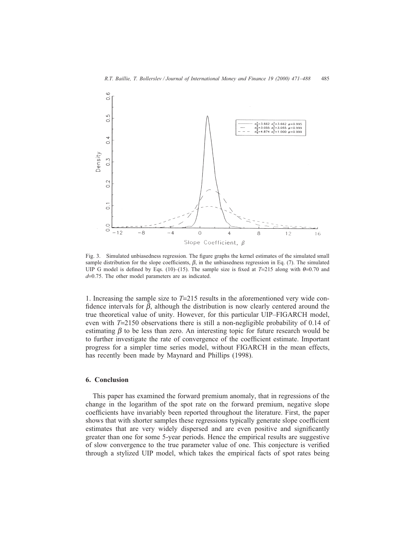

Fig. 3. Simulated unbiasedness regression. The figure graphs the kernel estimates of the simulated small sample distribution for the slope coefficients,  $\beta$ , in the unbiasedness regression in Eq. (7). The simulated UIP G model is defined by Eqs. (10)–(15). The sample size is fixed at  $T=215$  along with  $\theta=0.70$  and *d*=0.75. The other model parameters are as indicated.

1. Increasing the sample size to *T*=215 results in the aforementioned very wide confidence intervals for  $\hat{\beta}$ , although the distribution is now clearly centered around the true theoretical value of unity. However, for this particular UIP–FIGARCH model, even with *T*=2150 observations there is still a non-negligible probability of 0.14 of estimating  $\beta$  to be less than zero. An interesting topic for future research would be to further investigate the rate of convergence of the coefficient estimate. Important progress for a simpler time series model, without FIGARCH in the mean effects, has recently been made by Maynard and Phillips (1998).

#### **6. Conclusion**

This paper has examined the forward premium anomaly, that in regressions of the change in the logarithm of the spot rate on the forward premium, negative slope coefficients have invariably been reported throughout the literature. First, the paper shows that with shorter samples these regressions typically generate slope coefficient estimates that are very widely dispersed and are even positive and significantly greater than one for some 5-year periods. Hence the empirical results are suggestive of slow convergence to the true parameter value of one. This conjecture is verified through a stylized UIP model, which takes the empirical facts of spot rates being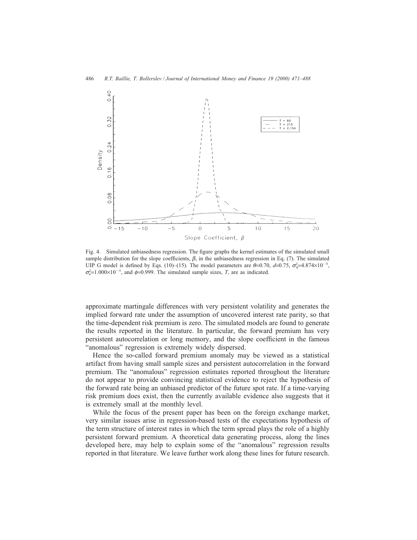

Fig. 4. Simulated unbiasedness regression. The figure graphs the kernel estimates of the simulated small sample distribution for the slope coefficients,  $\beta$ , in the unbiasedness regression in Eq. (7). The simulated UIP G model is defined by Eqs. (10)–(15). The model parameters are  $\theta$ =0.70,  $d=0.75$ ,  $\sigma_n^2$ =4.874×10<sup>-5</sup>,  $\sigma_{\epsilon}^2 = 1.000 \times 10^{-5}$ , and  $\phi = 0.999$ . The simulated sample sizes, *T*, are as indicated.

approximate martingale differences with very persistent volatility and generates the implied forward rate under the assumption of uncovered interest rate parity, so that the time-dependent risk premium is zero. The simulated models are found to generate the results reported in the literature. In particular, the forward premium has very persistent autocorrelation or long memory, and the slope coefficient in the famous "anomalous" regression is extremely widely dispersed.

Hence the so-called forward premium anomaly may be viewed as a statistical artifact from having small sample sizes and persistent autocorrelation in the forward premium. The "anomalous" regression estimates reported throughout the literature do not appear to provide convincing statistical evidence to reject the hypothesis of the forward rate being an unbiased predictor of the future spot rate. If a time-varying risk premium does exist, then the currently available evidence also suggests that it is extremely small at the monthly level.

While the focus of the present paper has been on the foreign exchange market, very similar issues arise in regression-based tests of the expectations hypothesis of the term structure of interest rates in which the term spread plays the role of a highly persistent forward premium. A theoretical data generating process, along the lines developed here, may help to explain some of the "anomalous" regression results reported in that literature. We leave further work along these lines for future research.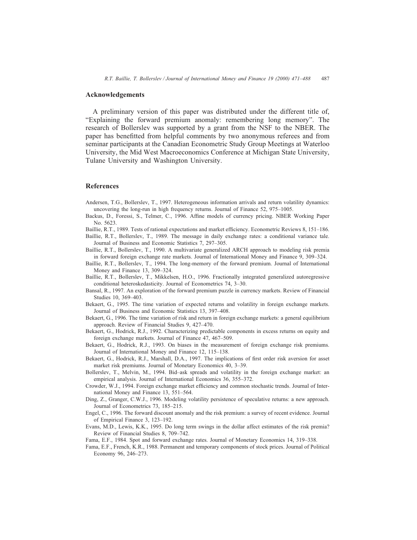#### **Acknowledgements**

A preliminary version of this paper was distributed under the different title of, "Explaining the forward premium anomaly: remembering long memory". The research of Bollerslev was supported by a grant from the NSF to the NBER. The paper has benefitted from helpful comments by two anonymous referees and from seminar participants at the Canadian Econometric Study Group Meetings at Waterloo University, the Mid West Macroeconomics Conference at Michigan State University, Tulane University and Washington University.

#### **References**

- Andersen, T.G., Bollerslev, T., 1997. Heterogeneous information arrivals and return volatility dynamics: uncovering the long-run in high frequency returns. Journal of Finance 52, 975–1005.
- Backus, D., Foressi, S., Telmer, C., 1996. Affine models of currency pricing. NBER Working Paper No. 5623.
- Baillie, R.T., 1989. Tests of rational expectations and market efficiency. Econometric Reviews 8, 151–186.
- Baillie, R.T., Bollerslev, T., 1989. The message in daily exchange rates: a conditional variance tale. Journal of Business and Economic Statistics 7, 297–305.
- Baillie, R.T., Bollerslev, T., 1990. A multivariate generalized ARCH approach to modeling risk premia in forward foreign exchange rate markets. Journal of International Money and Finance 9, 309–324.
- Baillie, R.T., Bollerslev, T., 1994. The long-memory of the forward premium. Journal of International Money and Finance 13, 309–324.
- Baillie, R.T., Bollerslev, T., Mikkelsen, H.O., 1996. Fractionally integrated generalized autoregressive conditional heteroskedasticity. Journal of Econometrics 74, 3–30.
- Bansal, R., 1997. An exploration of the forward premium puzzle in currency markets. Review of Financial Studies 10, 369–403.
- Bekaert, G., 1995. The time variation of expected returns and volatility in foreign exchange markets. Journal of Business and Economic Statistics 13, 397–408.
- Bekaert, G., 1996. The time variation of risk and return in foreign exchange markets: a general equilibrium approach. Review of Financial Studies 9, 427–470.
- Bekaert, G., Hodrick, R.J., 1992. Characterizing predictable components in excess returns on equity and foreign exchange markets. Journal of Finance 47, 467–509.
- Bekaert, G., Hodrick, R.J., 1993. On biases in the measurement of foreign exchange risk premiums. Journal of International Money and Finance 12, 115–138.
- Bekaert, G., Hodrick, R.J., Marshall, D.A., 1997. The implications of first order risk aversion for asset market risk premiums. Journal of Monetary Economics 40, 3–39.
- Bollerslev, T., Melvin, M., 1994. Bid–ask spreads and volatility in the foreign exchange market: an empirical analysis. Journal of International Economics 36, 355–372.
- Crowder, W.J., 1994. Foreign exchange market efficiency and common stochastic trends. Journal of International Money and Finance 13, 551–564.
- Ding, Z., Granger, C.W.J., 1996. Modeling volatility persistence of speculative returns: a new approach. Journal of Econometrics 73, 185–215.
- Engel, C., 1996. The forward discount anomaly and the risk premium: a survey of recent evidence. Journal of Empirical Finance 3, 123–192.
- Evans, M.D., Lewis, K.K., 1995. Do long term swings in the dollar affect estimates of the risk premia? Review of Financial Studies 8, 709–742.
- Fama, E.F., 1984. Spot and forward exchange rates. Journal of Monetary Economics 14, 319–338.
- Fama, E.F., French, K.R., 1988. Permanent and temporary components of stock prices. Journal of Political Economy 96, 246–273.